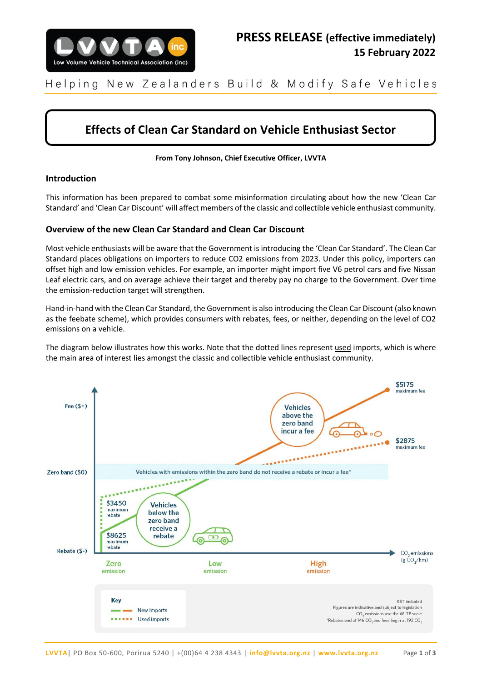

New Zealanders Build & Modify Safe Vehicles Helping

# **Effects of Clean Car Standard on Vehicle Enthusiast Sector**

**From Tony Johnson, Chief Executive Officer, LVVTA**

# **Introduction**

This information has been prepared to combat some misinformation circulating about how the new 'Clean Car Standard' and 'Clean Car Discount' will affect members of the classic and collectible vehicle enthusiast community.

# **Overview of the new Clean Car Standard and Clean Car Discount**

Most vehicle enthusiasts will be aware that the Government is introducing the 'Clean Car Standard'. The Clean Car Standard places obligations on importers to reduce CO2 emissions from 2023. Under this policy, importers can offset high and low emission vehicles. For example, an importer might import five V6 petrol cars and five Nissan Leaf electric cars, and on average achieve their target and thereby pay no charge to the Government. Over time the emission-reduction target will strengthen.

Hand-in-hand with the Clean Car Standard, the Government is also introducing the Clean Car Discount (also known as the feebate scheme), which provides consumers with rebates, fees, or neither, depending on the level of CO2 emissions on a vehicle.

The diagram below illustrates how this works. Note that the dotted lines represent used imports, which is where the main area of interest lies amongst the classic and collectible vehicle enthusiast community.

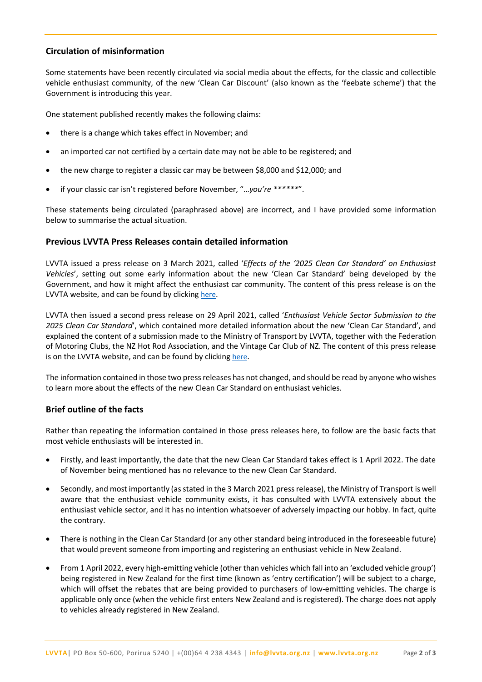# **Circulation of misinformation**

Some statements have been recently circulated via social media about the effects, for the classic and collectible vehicle enthusiast community, of the new 'Clean Car Discount' (also known as the 'feebate scheme') that the Government is introducing this year.

One statement published recently makes the following claims:

- there is a change which takes effect in November; and
- an imported car not certified by a certain date may not be able to be registered; and
- the new charge to register a classic car may be between \$8,000 and \$12,000; and
- if your classic car isn't registered before November, "…*you're \*\*\*\*\*\**".

These statements being circulated (paraphrased above) are incorrect, and I have provided some information below to summarise the actual situation.

### **Previous LVVTA Press Releases contain detailed information**

LVVTA issued a press release on 3 March 2021, called '*Effects of the '2025 Clean Car Standard' on Enthusiast Vehicles*', setting out some early information about the new 'Clean Car Standard' being developed by the Government, and how it might affect the enthusiast car community. The content of this press release is on the LVVTA website, and can be found by clicking [here](https://www.lvvta.org.nz/media-items/2021-03-03_LVVTA_Press_Release_Clean_Car_Import_Standard.pdf).

LVVTA then issued a second press release on 29 April 2021, called '*Enthusiast Vehicle Sector Submission to the 2025 Clean Car Standard*', which contained more detailed information about the new 'Clean Car Standard', and explained the content of a submission made to the Ministry of Transport by LVVTA, together with the Federation of Motoring Clubs, the NZ Hot Rod Association, and the Vintage Car Club of NZ. The content of this press release is on the LVVTA website, and can be found by clicking [here](https://www.lvvta.org.nz/media-items/2021_04_29_LVVTA_Press_Release_Clean_Car_Import_Standard.pdf).

The information contained in those two press releases has not changed, and should be read by anyone who wishes to learn more about the effects of the new Clean Car Standard on enthusiast vehicles.

### **Brief outline of the facts**

Rather than repeating the information contained in those press releases here, to follow are the basic facts that most vehicle enthusiasts will be interested in.

- Firstly, and least importantly, the date that the new Clean Car Standard takes effect is 1 April 2022. The date of November being mentioned has no relevance to the new Clean Car Standard.
- Secondly, and most importantly (as stated in the 3 March 2021 press release), the Ministry of Transport is well aware that the enthusiast vehicle community exists, it has consulted with LVVTA extensively about the enthusiast vehicle sector, and it has no intention whatsoever of adversely impacting our hobby. In fact, quite the contrary.
- There is nothing in the Clean Car Standard (or any other standard being introduced in the foreseeable future) that would prevent someone from importing and registering an enthusiast vehicle in New Zealand.
- From 1 April 2022, every high-emitting vehicle (other than vehicles which fall into an 'excluded vehicle group') being registered in New Zealand for the first time (known as 'entry certification') will be subject to a charge, which will offset the rebates that are being provided to purchasers of low-emitting vehicles. The charge is applicable only once (when the vehicle first enters New Zealand and is registered). The charge does not apply to vehicles already registered in New Zealand.